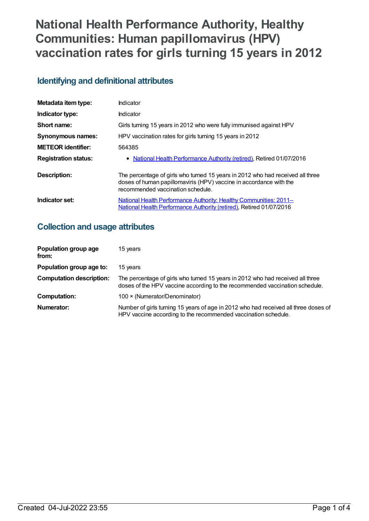# **National Health Performance Authority, Healthy Communities: Human papillomavirus (HPV) vaccination rates for girls turning 15 years in 2012**

# **Identifying and definitional attributes**

| Metadata item type:         | Indicator                                                                                                                                                                                 |
|-----------------------------|-------------------------------------------------------------------------------------------------------------------------------------------------------------------------------------------|
| Indicator type:             | Indicator                                                                                                                                                                                 |
| Short name:                 | Girls turning 15 years in 2012 who were fully immunised against HPV                                                                                                                       |
| <b>Synonymous names:</b>    | HPV vaccination rates for girls turning 15 years in 2012                                                                                                                                  |
| <b>METEOR identifier:</b>   | 564385                                                                                                                                                                                    |
| <b>Registration status:</b> | • National Health Performance Authority (retired), Retired 01/07/2016                                                                                                                     |
| <b>Description:</b>         | The percentage of girls who turned 15 years in 2012 who had received all three<br>doses of human papillomaviris (HPV) vaccine in accordance with the<br>recommended vaccination schedule. |
| Indicator set:              | National Health Performance Authority: Healthy Communities: 2011-<br>National Health Performance Authority (retired), Retired 01/07/2016                                                  |

# **Collection and usage attributes**

| Population group age<br>from:   | 15 years                                                                                                                                                      |
|---------------------------------|---------------------------------------------------------------------------------------------------------------------------------------------------------------|
| Population group age to:        | 15 years                                                                                                                                                      |
| <b>Computation description:</b> | The percentage of girls who turned 15 years in 2012 who had received all three<br>doses of the HPV vaccine according to the recommended vaccination schedule. |
| <b>Computation:</b>             | 100 × (Numerator/Denominator)                                                                                                                                 |
| Numerator:                      | Number of girls turning 15 years of age in 2012 who had received all three doses of<br>HPV vaccine according to the recommended vaccination schedule.         |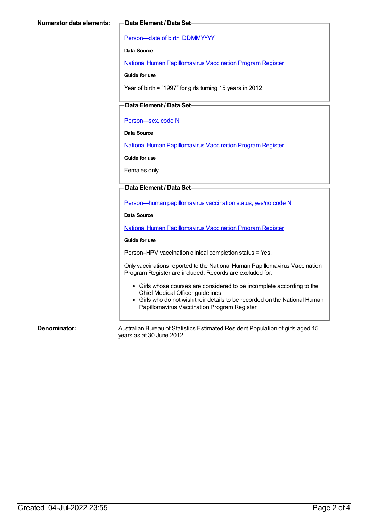[Person—date](https://meteor.aihw.gov.au/content/287007) of birth, DDMMYYYY

**Data Source**

National Human [Papillomavirus](https://meteor.aihw.gov.au/content/581029) Vaccination Program Register

**Guide for use**

Year of birth = "1997" for girls turning 15 years in 2012

### **Data Element / Data Set**

[Person—sex,](https://meteor.aihw.gov.au/content/287316) code N

**Data Source**

National Human [Papillomavirus](https://meteor.aihw.gov.au/content/581029) Vaccination Program Register

**Guide for use**

Females only

#### **Data Element / Data Set**

[Person—human](https://meteor.aihw.gov.au/content/564749) papillomavirus vaccination status, yes/no code N

**Data Source**

National Human [Papillomavirus](https://meteor.aihw.gov.au/content/581029) Vaccination Program Register

#### **Guide for use**

Person–HPV vaccination clinical completion status = Yes.

Only vaccinations reported to the National Human Papillomavirus Vaccination Program Register are included. Records are excluded for:

- Girls whose courses are considered to be incomplete according to the Chief Medical Officer guidelines
- Girls who do not wish their details to be recorded on the National Human Papillomavirus Vaccination Program Register

**Denominator:** Australian Bureau of Statistics Estimated Resident Population of girls aged 15 years as at 30 June 2012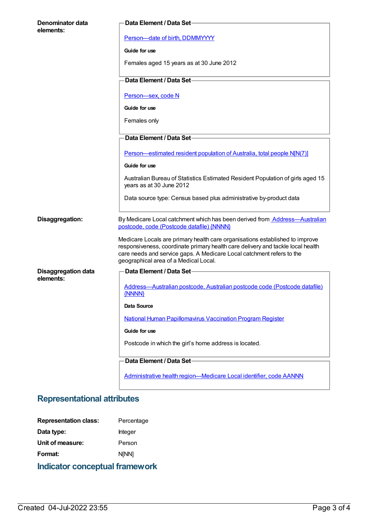| Denominator data<br>elements:           | Data Element / Data Set-                                                                                                                                                                                                                                                          |
|-----------------------------------------|-----------------------------------------------------------------------------------------------------------------------------------------------------------------------------------------------------------------------------------------------------------------------------------|
|                                         | Person-date of birth, DDMMYYYY                                                                                                                                                                                                                                                    |
|                                         | Guide for use                                                                                                                                                                                                                                                                     |
|                                         | Females aged 15 years as at 30 June 2012                                                                                                                                                                                                                                          |
|                                         | Data Element / Data Set-                                                                                                                                                                                                                                                          |
|                                         | Person-sex, code N                                                                                                                                                                                                                                                                |
|                                         | Guide for use                                                                                                                                                                                                                                                                     |
|                                         | Females only                                                                                                                                                                                                                                                                      |
|                                         | Data Element / Data Set-                                                                                                                                                                                                                                                          |
|                                         | Person-estimated resident population of Australia, total people N[N(7)]                                                                                                                                                                                                           |
|                                         | Guide for use                                                                                                                                                                                                                                                                     |
|                                         | Australian Bureau of Statistics Estimated Resident Population of girls aged 15<br>years as at 30 June 2012                                                                                                                                                                        |
|                                         | Data source type: Census based plus administrative by-product data                                                                                                                                                                                                                |
| Disaggregation:                         | By Medicare Local catchment which has been derived from <b>Address-Australian</b><br>postcode, code (Postcode datafile) {NNNN}                                                                                                                                                    |
|                                         | Medicare Locals are primary health care organisations established to improve<br>responsiveness, coordinate primary health care delivery and tackle local health<br>care needs and service gaps. A Medicare Local catchment refers to the<br>geographical area of a Medical Local. |
| <b>Disaggregation data</b><br>elements: | Data Element / Data Set-                                                                                                                                                                                                                                                          |
|                                         | Address-Australian postcode, Australian postcode code (Postcode datafile)<br>{NNNN}                                                                                                                                                                                               |
|                                         | Data Source                                                                                                                                                                                                                                                                       |
|                                         | <b>National Human Papillomavirus Vaccination Program Register</b>                                                                                                                                                                                                                 |
|                                         | Guide for use                                                                                                                                                                                                                                                                     |
|                                         | Postcode in which the girl's home address is located.                                                                                                                                                                                                                             |
|                                         | Data Element / Data Set-                                                                                                                                                                                                                                                          |
|                                         | Administrative health region-Medicare Local identifier, code AANNN                                                                                                                                                                                                                |

# **Representational attributes**

| <b>Representation class:</b>          | Percentage   |
|---------------------------------------|--------------|
| Data type:                            | Integer      |
| Unit of measure:                      | Person       |
| Format:                               | <b>NINN1</b> |
| <b>Indicator conceptual framework</b> |              |